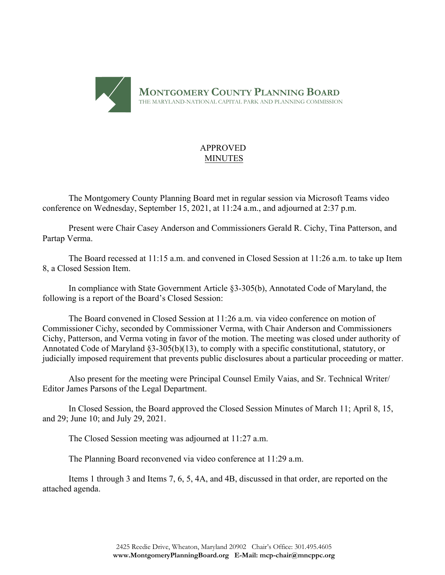

# APPROVED MINUTES

The Montgomery County Planning Board met in regular session via Microsoft Teams video conference on Wednesday, September 15, 2021, at 11:24 a.m., and adjourned at 2:37 p.m.

Present were Chair Casey Anderson and Commissioners Gerald R. Cichy, Tina Patterson, and Partap Verma.

The Board recessed at 11:15 a.m. and convened in Closed Session at 11:26 a.m. to take up Item 8, a Closed Session Item.

In compliance with State Government Article §3-305(b), Annotated Code of Maryland, the following is a report of the Board's Closed Session:

The Board convened in Closed Session at 11:26 a.m. via video conference on motion of Commissioner Cichy, seconded by Commissioner Verma, with Chair Anderson and Commissioners Cichy, Patterson, and Verma voting in favor of the motion. The meeting was closed under authority of Annotated Code of Maryland §3-305(b)(13), to comply with a specific constitutional, statutory, or judicially imposed requirement that prevents public disclosures about a particular proceeding or matter.

Also present for the meeting were Principal Counsel Emily Vaias, and Sr. Technical Writer/ Editor James Parsons of the Legal Department.

In Closed Session, the Board approved the Closed Session Minutes of March 11; April 8, 15, and 29; June 10; and July 29, 2021.

The Closed Session meeting was adjourned at 11:27 a.m.

The Planning Board reconvened via video conference at 11:29 a.m.

Items 1 through 3 and Items 7, 6, 5, 4A, and 4B, discussed in that order, are reported on the attached agenda.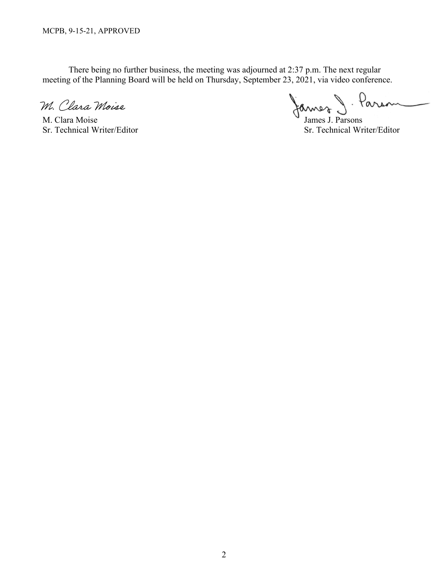There being no further business, the meeting was adjourned at 2:37 p.m. The next regular meeting of the Planning Board will be held on Thursday, September 23, 2021, via video conference.

M. Clara Moise

M. Clara Moise James J. Parsons

- Parson James

Sr. Technical Writer/Editor Sr. Technical Writer/Editor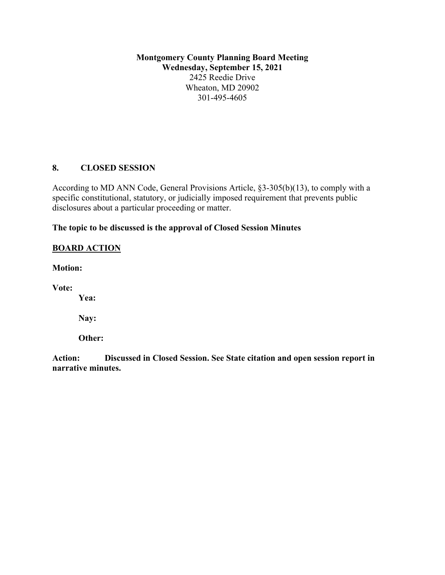**Montgomery County Planning Board Meeting Wednesday, September 15, 2021** 2425 Reedie Drive Wheaton, MD 20902 301-495-4605

# **8. CLOSED SESSION**

According to MD ANN Code, General Provisions Article, §3-305(b)(13), to comply with a specific constitutional, statutory, or judicially imposed requirement that prevents public disclosures about a particular proceeding or matter.

# **The topic to be discussed is the approval of Closed Session Minutes**

# **BOARD ACTION**

**Motion:**

**Vote:**

**Yea:**

**Nay:**

**Other:** 

**Action: Discussed in Closed Session. See State citation and open session report in narrative minutes.**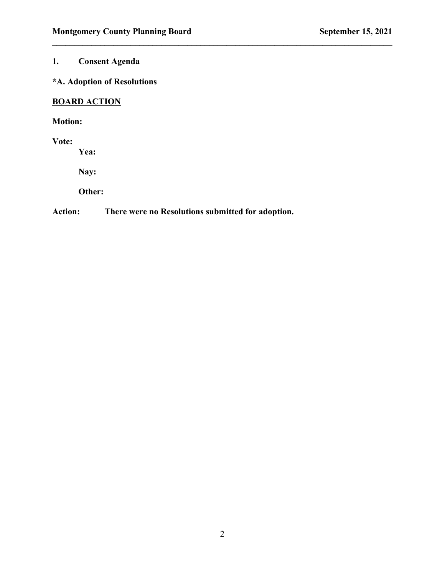# **1. Consent Agenda**

# **\*A. Adoption of Resolutions**

# **BOARD ACTION**

# **Motion:**

### **Vote:**

**Yea:**

**Nay:**

**Other:** 

## **Action: There were no Resolutions submitted for adoption.**

 $\mathcal{L}_\mathcal{L} = \{ \mathcal{L}_\mathcal{L} = \{ \mathcal{L}_\mathcal{L} = \{ \mathcal{L}_\mathcal{L} = \{ \mathcal{L}_\mathcal{L} = \{ \mathcal{L}_\mathcal{L} = \{ \mathcal{L}_\mathcal{L} = \{ \mathcal{L}_\mathcal{L} = \{ \mathcal{L}_\mathcal{L} = \{ \mathcal{L}_\mathcal{L} = \{ \mathcal{L}_\mathcal{L} = \{ \mathcal{L}_\mathcal{L} = \{ \mathcal{L}_\mathcal{L} = \{ \mathcal{L}_\mathcal{L} = \{ \mathcal{L}_\mathcal{$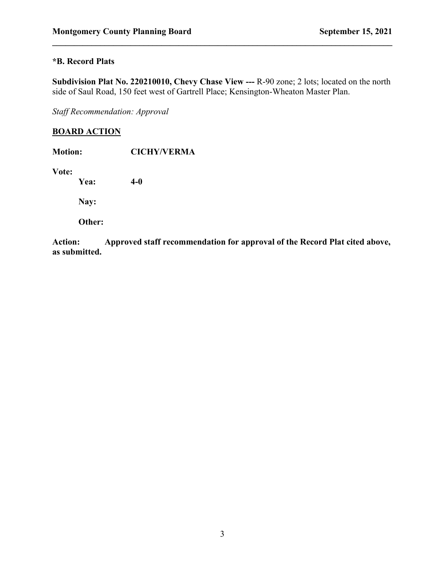# **\*B. Record Plats**

**Subdivision Plat No. 220210010, Chevy Chase View ---** R-90 zone; 2 lots; located on the north side of Saul Road, 150 feet west of Gartrell Place; Kensington-Wheaton Master Plan.

 $\mathcal{L}_\mathcal{L} = \{ \mathcal{L}_\mathcal{L} = \{ \mathcal{L}_\mathcal{L} = \{ \mathcal{L}_\mathcal{L} = \{ \mathcal{L}_\mathcal{L} = \{ \mathcal{L}_\mathcal{L} = \{ \mathcal{L}_\mathcal{L} = \{ \mathcal{L}_\mathcal{L} = \{ \mathcal{L}_\mathcal{L} = \{ \mathcal{L}_\mathcal{L} = \{ \mathcal{L}_\mathcal{L} = \{ \mathcal{L}_\mathcal{L} = \{ \mathcal{L}_\mathcal{L} = \{ \mathcal{L}_\mathcal{L} = \{ \mathcal{L}_\mathcal{$ 

*Staff Recommendation: Approval*

## **BOARD ACTION**

| <b>Motion:</b> | <b>CICHY/VERMA</b> |
|----------------|--------------------|
| Vote:<br>Yea:  | $4-0$              |
| Nay:           |                    |
| Other:         |                    |
|                |                    |

**Action: Approved staff recommendation for approval of the Record Plat cited above, as submitted.**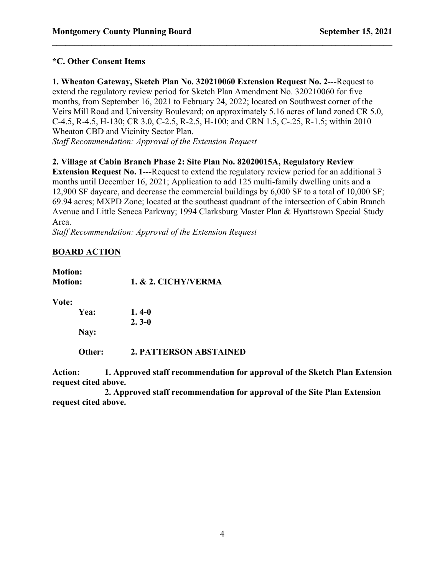### **\*C. Other Consent Items**

**1. Wheaton Gateway, Sketch Plan No. 320210060 Extension Request No. 2**---Request to extend the regulatory review period for Sketch Plan Amendment No. 320210060 for five months, from September 16, 2021 to February 24, 2022; located on Southwest corner of the Veirs Mill Road and University Boulevard; on approximately 5.16 acres of land zoned CR 5.0, C-4.5, R-4.5, H-130; CR 3.0, C-2.5, R-2.5, H-100; and CRN 1.5, C-.25, R-1.5; within 2010 Wheaton CBD and Vicinity Sector Plan.

 $\mathcal{L}_\mathcal{L} = \{ \mathcal{L}_\mathcal{L} = \{ \mathcal{L}_\mathcal{L} = \{ \mathcal{L}_\mathcal{L} = \{ \mathcal{L}_\mathcal{L} = \{ \mathcal{L}_\mathcal{L} = \{ \mathcal{L}_\mathcal{L} = \{ \mathcal{L}_\mathcal{L} = \{ \mathcal{L}_\mathcal{L} = \{ \mathcal{L}_\mathcal{L} = \{ \mathcal{L}_\mathcal{L} = \{ \mathcal{L}_\mathcal{L} = \{ \mathcal{L}_\mathcal{L} = \{ \mathcal{L}_\mathcal{L} = \{ \mathcal{L}_\mathcal{$ 

*Staff Recommendation: Approval of the Extension Request*

### **2. Village at Cabin Branch Phase 2: Site Plan No. 82020015A, Regulatory Review**

**Extension Request No. 1---Request to extend the regulatory review period for an additional 3** months until December 16, 2021; Application to add 125 multi-family dwelling units and a 12,900 SF daycare, and decrease the commercial buildings by 6,000 SF to a total of 10,000 SF; 69.94 acres; MXPD Zone; located at the southeast quadrant of the intersection of Cabin Branch Avenue and Little Seneca Parkway; 1994 Clarksburg Master Plan & Hyattstown Special Study Area.

*Staff Recommendation: Approval of the Extension Request*

## **BOARD ACTION**

**Motion: Motion: 1. & 2. CICHY/VERMA**

**Vote:**

**Yea: 1. 4-0 2. 3-0 Nay:**

**Other: 2. PATTERSON ABSTAINED**

**Action: 1. Approved staff recommendation for approval of the Sketch Plan Extension request cited above.**

**2. Approved staff recommendation for approval of the Site Plan Extension request cited above.**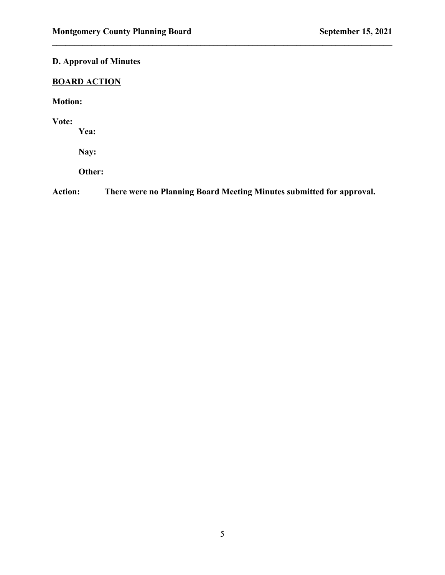# **D. Approval of Minutes**

# **BOARD ACTION**

**Motion:**

**Vote:**

**Yea:**

**Nay:**

**Other:** 

**Action: There were no Planning Board Meeting Minutes submitted for approval.**

 $\mathcal{L}_\mathcal{L} = \{ \mathcal{L}_\mathcal{L} = \{ \mathcal{L}_\mathcal{L} = \{ \mathcal{L}_\mathcal{L} = \{ \mathcal{L}_\mathcal{L} = \{ \mathcal{L}_\mathcal{L} = \{ \mathcal{L}_\mathcal{L} = \{ \mathcal{L}_\mathcal{L} = \{ \mathcal{L}_\mathcal{L} = \{ \mathcal{L}_\mathcal{L} = \{ \mathcal{L}_\mathcal{L} = \{ \mathcal{L}_\mathcal{L} = \{ \mathcal{L}_\mathcal{L} = \{ \mathcal{L}_\mathcal{L} = \{ \mathcal{L}_\mathcal{$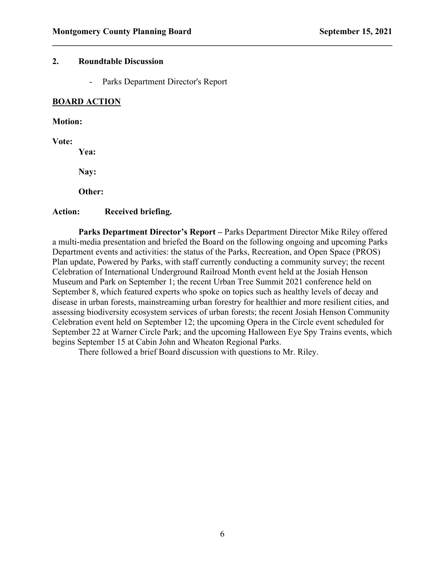### **2. Roundtable Discussion**

- Parks Department Director's Report

### **BOARD ACTION**

#### **Motion:**

**Vote:**

**Yea:**

**Nay:**

**Other:** 

#### **Action: Received briefing.**

**Parks Department Director's Report –** Parks Department Director Mike Riley offered a multi-media presentation and briefed the Board on the following ongoing and upcoming Parks Department events and activities: the status of the Parks, Recreation, and Open Space (PROS) Plan update, Powered by Parks, with staff currently conducting a community survey; the recent Celebration of International Underground Railroad Month event held at the Josiah Henson Museum and Park on September 1; the recent Urban Tree Summit 2021 conference held on September 8, which featured experts who spoke on topics such as healthy levels of decay and disease in urban forests, mainstreaming urban forestry for healthier and more resilient cities, and assessing biodiversity ecosystem services of urban forests; the recent Josiah Henson Community Celebration event held on September 12; the upcoming Opera in the Circle event scheduled for September 22 at Warner Circle Park; and the upcoming Halloween Eye Spy Trains events, which begins September 15 at Cabin John and Wheaton Regional Parks.

 $\mathcal{L}_\mathcal{L} = \{ \mathcal{L}_\mathcal{L} = \{ \mathcal{L}_\mathcal{L} = \{ \mathcal{L}_\mathcal{L} = \{ \mathcal{L}_\mathcal{L} = \{ \mathcal{L}_\mathcal{L} = \{ \mathcal{L}_\mathcal{L} = \{ \mathcal{L}_\mathcal{L} = \{ \mathcal{L}_\mathcal{L} = \{ \mathcal{L}_\mathcal{L} = \{ \mathcal{L}_\mathcal{L} = \{ \mathcal{L}_\mathcal{L} = \{ \mathcal{L}_\mathcal{L} = \{ \mathcal{L}_\mathcal{L} = \{ \mathcal{L}_\mathcal{$ 

There followed a brief Board discussion with questions to Mr. Riley.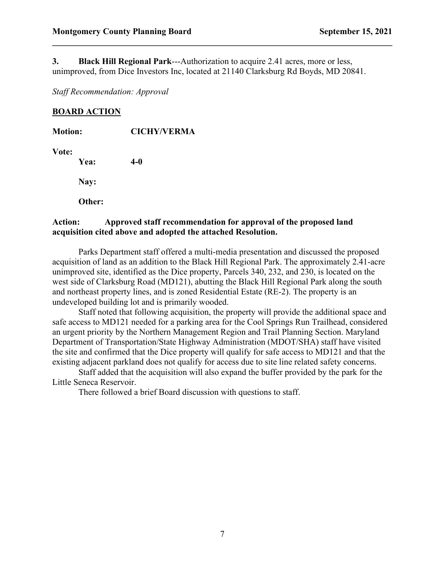**3. Black Hill Regional Park**---Authorization to acquire 2.41 acres, more or less, unimproved, from Dice Investors Inc, located at 21140 Clarksburg Rd Boyds, MD 20841.

 $\mathcal{L}_\mathcal{L} = \{ \mathcal{L}_\mathcal{L} = \{ \mathcal{L}_\mathcal{L} = \{ \mathcal{L}_\mathcal{L} = \{ \mathcal{L}_\mathcal{L} = \{ \mathcal{L}_\mathcal{L} = \{ \mathcal{L}_\mathcal{L} = \{ \mathcal{L}_\mathcal{L} = \{ \mathcal{L}_\mathcal{L} = \{ \mathcal{L}_\mathcal{L} = \{ \mathcal{L}_\mathcal{L} = \{ \mathcal{L}_\mathcal{L} = \{ \mathcal{L}_\mathcal{L} = \{ \mathcal{L}_\mathcal{L} = \{ \mathcal{L}_\mathcal{$ 

*Staff Recommendation: Approval*

### **BOARD ACTION**

| <b>Motion:</b> |        | <b>CICHY/VERMA</b> |  |
|----------------|--------|--------------------|--|
| Vote:          | Yea:   | $4-0$              |  |
|                | Nay:   |                    |  |
|                | Other: |                    |  |
|                |        |                    |  |

### **Action: Approved staff recommendation for approval of the proposed land acquisition cited above and adopted the attached Resolution.**

Parks Department staff offered a multi-media presentation and discussed the proposed acquisition of land as an addition to the Black Hill Regional Park. The approximately 2.41-acre unimproved site, identified as the Dice property, Parcels 340, 232, and 230, is located on the west side of Clarksburg Road (MD121), abutting the Black Hill Regional Park along the south and northeast property lines, and is zoned Residential Estate (RE-2). The property is an undeveloped building lot and is primarily wooded.

Staff noted that following acquisition, the property will provide the additional space and safe access to MD121 needed for a parking area for the Cool Springs Run Trailhead, considered an urgent priority by the Northern Management Region and Trail Planning Section. Maryland Department of Transportation/State Highway Administration (MDOT/SHA) staff have visited the site and confirmed that the Dice property will qualify for safe access to MD121 and that the existing adjacent parkland does not qualify for access due to site line related safety concerns.

Staff added that the acquisition will also expand the buffer provided by the park for the Little Seneca Reservoir.

There followed a brief Board discussion with questions to staff.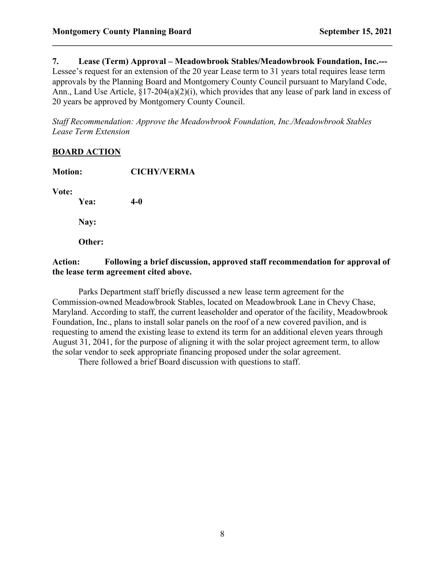**7. Lease (Term) Approval – Meadowbrook Stables/Meadowbrook Foundation, Inc.---** Lessee's request for an extension of the 20 year Lease term to 31 years total requires lease term approvals by the Planning Board and Montgomery County Council pursuant to Maryland Code, Ann., Land Use Article, §17-204(a)(2)(i), which provides that any lease of park land in excess of 20 years be approved by Montgomery County Council.

 $\mathcal{L}_\mathcal{L} = \{ \mathcal{L}_\mathcal{L} = \{ \mathcal{L}_\mathcal{L} = \{ \mathcal{L}_\mathcal{L} = \{ \mathcal{L}_\mathcal{L} = \{ \mathcal{L}_\mathcal{L} = \{ \mathcal{L}_\mathcal{L} = \{ \mathcal{L}_\mathcal{L} = \{ \mathcal{L}_\mathcal{L} = \{ \mathcal{L}_\mathcal{L} = \{ \mathcal{L}_\mathcal{L} = \{ \mathcal{L}_\mathcal{L} = \{ \mathcal{L}_\mathcal{L} = \{ \mathcal{L}_\mathcal{L} = \{ \mathcal{L}_\mathcal{$ 

*Staff Recommendation: Approve the Meadowbrook Foundation, Inc./Meadowbrook Stables Lease Term Extension*

### **BOARD ACTION**

| <b>Motion:</b> | <b>CICHY/VERMA</b> |  |
|----------------|--------------------|--|
| Vote:          |                    |  |
| Yea:           | $4-0$              |  |
| Nay:           |                    |  |
| Other:         |                    |  |

## **Action: Following a brief discussion, approved staff recommendation for approval of the lease term agreement cited above.**

Parks Department staff briefly discussed a new lease term agreement for the Commission-owned Meadowbrook Stables, located on Meadowbrook Lane in Chevy Chase, Maryland. According to staff, the current leaseholder and operator of the facility, Meadowbrook Foundation, Inc., plans to install solar panels on the roof of a new covered pavilion, and is requesting to amend the existing lease to extend its term for an additional eleven years through August 31, 2041, for the purpose of aligning it with the solar project agreement term, to allow the solar vendor to seek appropriate financing proposed under the solar agreement.

There followed a brief Board discussion with questions to staff.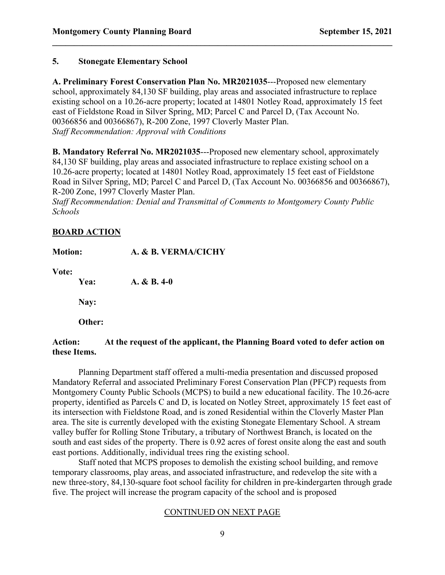### **5. Stonegate Elementary School**

**A. Preliminary Forest Conservation Plan No. MR2021035**---Proposed new elementary school, approximately 84,130 SF building, play areas and associated infrastructure to replace existing school on a 10.26-acre property; located at 14801 Notley Road, approximately 15 feet east of Fieldstone Road in Silver Spring, MD; Parcel C and Parcel D, (Tax Account No. 00366856 and 00366867), R-200 Zone, 1997 Cloverly Master Plan. *Staff Recommendation: Approval with Conditions*

 $\mathcal{L}_\mathcal{L} = \{ \mathcal{L}_\mathcal{L} = \{ \mathcal{L}_\mathcal{L} = \{ \mathcal{L}_\mathcal{L} = \{ \mathcal{L}_\mathcal{L} = \{ \mathcal{L}_\mathcal{L} = \{ \mathcal{L}_\mathcal{L} = \{ \mathcal{L}_\mathcal{L} = \{ \mathcal{L}_\mathcal{L} = \{ \mathcal{L}_\mathcal{L} = \{ \mathcal{L}_\mathcal{L} = \{ \mathcal{L}_\mathcal{L} = \{ \mathcal{L}_\mathcal{L} = \{ \mathcal{L}_\mathcal{L} = \{ \mathcal{L}_\mathcal{$ 

**B. Mandatory Referral No. MR2021035**---Proposed new elementary school, approximately 84,130 SF building, play areas and associated infrastructure to replace existing school on a 10.26-acre property; located at 14801 Notley Road, approximately 15 feet east of Fieldstone Road in Silver Spring, MD; Parcel C and Parcel D, (Tax Account No. 00366856 and 00366867), R-200 Zone, 1997 Cloverly Master Plan.

*Staff Recommendation: Denial and Transmittal of Comments to Montgomery County Public Schools*

### **BOARD ACTION**

| <b>Motion:</b> |        | A. & B. VERMA/CICHY |
|----------------|--------|---------------------|
| Vote:          | Yea:   | $A. & B. 4-0$       |
|                | Nay:   |                     |
|                | Other: |                     |
|                |        |                     |

### **Action: At the request of the applicant, the Planning Board voted to defer action on these Items.**

Planning Department staff offered a multi-media presentation and discussed proposed Mandatory Referral and associated Preliminary Forest Conservation Plan (PFCP) requests from Montgomery County Public Schools (MCPS) to build a new educational facility. The 10.26-acre property, identified as Parcels C and D, is located on Notley Street, approximately 15 feet east of its intersection with Fieldstone Road, and is zoned Residential within the Cloverly Master Plan area. The site is currently developed with the existing Stonegate Elementary School. A stream valley buffer for Rolling Stone Tributary, a tributary of Northwest Branch, is located on the south and east sides of the property. There is 0.92 acres of forest onsite along the east and south east portions. Additionally, individual trees ring the existing school.

Staff noted that MCPS proposes to demolish the existing school building, and remove temporary classrooms, play areas, and associated infrastructure, and redevelop the site with a new three-story, 84,130-square foot school facility for children in pre-kindergarten through grade five. The project will increase the program capacity of the school and is proposed

### CONTINUED ON NEXT PAGE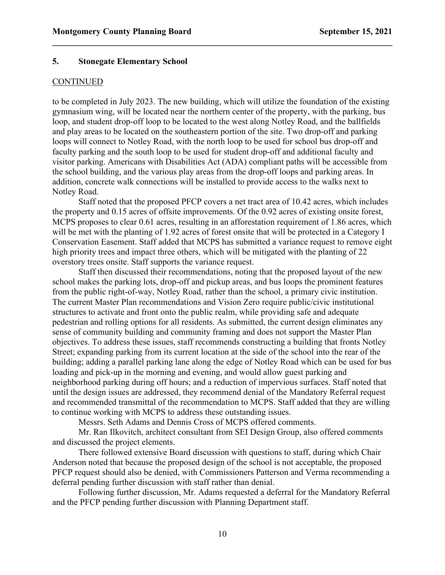#### **5. Stonegate Elementary School**

#### **CONTINUED**

to be completed in July 2023. The new building, which will utilize the foundation of the existing gymnasium wing, will be located near the northern center of the property, with the parking, bus loop, and student drop-off loop to be located to the west along Notley Road, and the ballfields and play areas to be located on the southeastern portion of the site. Two drop-off and parking loops will connect to Notley Road, with the north loop to be used for school bus drop-off and faculty parking and the south loop to be used for student drop-off and additional faculty and visitor parking. Americans with Disabilities Act (ADA) compliant paths will be accessible from the school building, and the various play areas from the drop-off loops and parking areas. In addition, concrete walk connections will be installed to provide access to the walks next to Notley Road.

 $\mathcal{L}_\mathcal{L} = \{ \mathcal{L}_\mathcal{L} = \{ \mathcal{L}_\mathcal{L} = \{ \mathcal{L}_\mathcal{L} = \{ \mathcal{L}_\mathcal{L} = \{ \mathcal{L}_\mathcal{L} = \{ \mathcal{L}_\mathcal{L} = \{ \mathcal{L}_\mathcal{L} = \{ \mathcal{L}_\mathcal{L} = \{ \mathcal{L}_\mathcal{L} = \{ \mathcal{L}_\mathcal{L} = \{ \mathcal{L}_\mathcal{L} = \{ \mathcal{L}_\mathcal{L} = \{ \mathcal{L}_\mathcal{L} = \{ \mathcal{L}_\mathcal{$ 

Staff noted that the proposed PFCP covers a net tract area of 10.42 acres, which includes the property and 0.15 acres of offsite improvements. Of the 0.92 acres of existing onsite forest, MCPS proposes to clear 0.61 acres, resulting in an afforestation requirement of 1.86 acres, which will be met with the planting of 1.92 acres of forest onsite that will be protected in a Category I Conservation Easement. Staff added that MCPS has submitted a variance request to remove eight high priority trees and impact three others, which will be mitigated with the planting of 22 overstory trees onsite. Staff supports the variance request.

Staff then discussed their recommendations, noting that the proposed layout of the new school makes the parking lots, drop-off and pickup areas, and bus loops the prominent features from the public right-of-way, Notley Road, rather than the school, a primary civic institution. The current Master Plan recommendations and Vision Zero require public/civic institutional structures to activate and front onto the public realm, while providing safe and adequate pedestrian and rolling options for all residents. As submitted, the current design eliminates any sense of community building and community framing and does not support the Master Plan objectives. To address these issues, staff recommends constructing a building that fronts Notley Street; expanding parking from its current location at the side of the school into the rear of the building; adding a parallel parking lane along the edge of Notley Road which can be used for bus loading and pick-up in the morning and evening, and would allow guest parking and neighborhood parking during off hours; and a reduction of impervious surfaces. Staff noted that until the design issues are addressed, they recommend denial of the Mandatory Referral request and recommended transmittal of the recommendation to MCPS. Staff added that they are willing to continue working with MCPS to address these outstanding issues.

Messrs. Seth Adams and Dennis Cross of MCPS offered comments.

Mr. Ran Ilkovitch, architect consultant from SEI Design Group, also offered comments and discussed the project elements.

There followed extensive Board discussion with questions to staff, during which Chair Anderson noted that because the proposed design of the school is not acceptable, the proposed PFCP request should also be denied, with Commissioners Patterson and Verma recommending a deferral pending further discussion with staff rather than denial.

Following further discussion, Mr. Adams requested a deferral for the Mandatory Referral and the PFCP pending further discussion with Planning Department staff.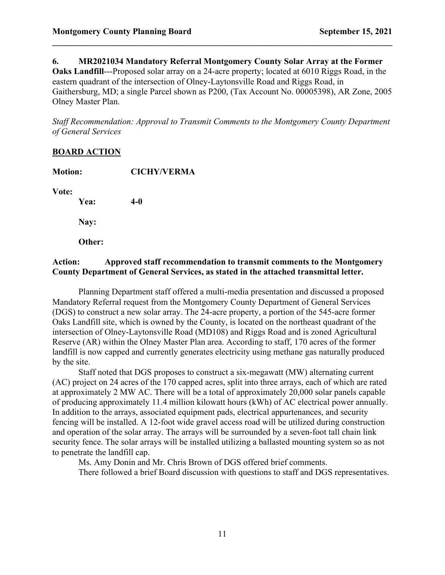#### **6. MR2021034 Mandatory Referral Montgomery County Solar Array at the Former**

 $\mathcal{L}_\mathcal{L} = \{ \mathcal{L}_\mathcal{L} = \{ \mathcal{L}_\mathcal{L} = \{ \mathcal{L}_\mathcal{L} = \{ \mathcal{L}_\mathcal{L} = \{ \mathcal{L}_\mathcal{L} = \{ \mathcal{L}_\mathcal{L} = \{ \mathcal{L}_\mathcal{L} = \{ \mathcal{L}_\mathcal{L} = \{ \mathcal{L}_\mathcal{L} = \{ \mathcal{L}_\mathcal{L} = \{ \mathcal{L}_\mathcal{L} = \{ \mathcal{L}_\mathcal{L} = \{ \mathcal{L}_\mathcal{L} = \{ \mathcal{L}_\mathcal{$ 

**Oaks Landfill**---Proposed solar array on a 24-acre property; located at 6010 Riggs Road, in the eastern quadrant of the intersection of Olney-Laytonsville Road and Riggs Road, in Gaithersburg, MD; a single Parcel shown as P200, (Tax Account No. 00005398), AR Zone, 2005 Olney Master Plan.

*Staff Recommendation: Approval to Transmit Comments to the Montgomery County Department of General Services*

### **BOARD ACTION**

| <b>Motion:</b> | <b>CICHY/VERMA</b> |  |
|----------------|--------------------|--|
| Vote:          |                    |  |
| Yea:           | $4-0$              |  |
| Nay:           |                    |  |
| Other:         |                    |  |

### **Action: Approved staff recommendation to transmit comments to the Montgomery County Department of General Services, as stated in the attached transmittal letter.**

Planning Department staff offered a multi-media presentation and discussed a proposed Mandatory Referral request from the Montgomery County Department of General Services (DGS) to construct a new solar array. The 24-acre property, a portion of the 545-acre former Oaks Landfill site, which is owned by the County, is located on the northeast quadrant of the intersection of Olney-Laytonsville Road (MD108) and Riggs Road and is zoned Agricultural Reserve (AR) within the Olney Master Plan area. According to staff, 170 acres of the former landfill is now capped and currently generates electricity using methane gas naturally produced by the site.

Staff noted that DGS proposes to construct a six-megawatt (MW) alternating current (AC) project on 24 acres of the 170 capped acres, split into three arrays, each of which are rated at approximately 2 MW AC. There will be a total of approximately 20,000 solar panels capable of producing approximately 11.4 million kilowatt hours (kWh) of AC electrical power annually. In addition to the arrays, associated equipment pads, electrical appurtenances, and security fencing will be installed. A 12-foot wide gravel access road will be utilized during construction and operation of the solar array. The arrays will be surrounded by a seven-foot tall chain link security fence. The solar arrays will be installed utilizing a ballasted mounting system so as not to penetrate the landfill cap.

Ms. Amy Donin and Mr. Chris Brown of DGS offered brief comments.

There followed a brief Board discussion with questions to staff and DGS representatives.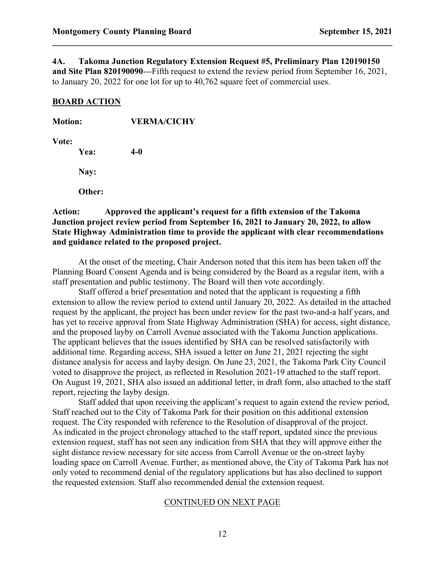**4A. Takoma Junction Regulatory Extension Request #5, Preliminary Plan 120190150 and Site Plan 820190090**---Fifth request to extend the review period from September 16, 2021, to January 20, 2022 for one lot for up to 40,762 square feet of commercial uses.

 $\mathcal{L}_\mathcal{L} = \{ \mathcal{L}_\mathcal{L} = \{ \mathcal{L}_\mathcal{L} = \{ \mathcal{L}_\mathcal{L} = \{ \mathcal{L}_\mathcal{L} = \{ \mathcal{L}_\mathcal{L} = \{ \mathcal{L}_\mathcal{L} = \{ \mathcal{L}_\mathcal{L} = \{ \mathcal{L}_\mathcal{L} = \{ \mathcal{L}_\mathcal{L} = \{ \mathcal{L}_\mathcal{L} = \{ \mathcal{L}_\mathcal{L} = \{ \mathcal{L}_\mathcal{L} = \{ \mathcal{L}_\mathcal{L} = \{ \mathcal{L}_\mathcal{$ 

#### **BOARD ACTION**

| <b>Motion:</b> | <b>VERMA/CICHY</b>      |  |
|----------------|-------------------------|--|
| Vote:<br>Yea:  | 4-0                     |  |
| Nay:           |                         |  |
| Other:         |                         |  |
| <b>Action:</b> | Approved the applicant' |  |

**Providently**'s request for a fifth extension of the Takoma **Junction project review period from September 16, 2021 to January 20, 2022, to allow State Highway Administration time to provide the applicant with clear recommendations and guidance related to the proposed project.** 

At the onset of the meeting, Chair Anderson noted that this item has been taken off the Planning Board Consent Agenda and is being considered by the Board as a regular item, with a staff presentation and public testimony. The Board will then vote accordingly.

Staff offered a brief presentation and noted that the applicant is requesting a fifth extension to allow the review period to extend until January 20, 2022. As detailed in the attached request by the applicant, the project has been under review for the past two-and-a half years, and has yet to receive approval from State Highway Administration (SHA) for access, sight distance, and the proposed layby on Carroll Avenue associated with the Takoma Junction applications. The applicant believes that the issues identified by SHA can be resolved satisfactorily with additional time. Regarding access, SHA issued a letter on June 21, 2021 rejecting the sight distance analysis for access and layby design. On June 23, 2021, the Takoma Park City Council voted to disapprove the project, as reflected in Resolution 2021-19 attached to the staff report. On August 19, 2021, SHA also issued an additional letter, in draft form, also attached to the staff report, rejecting the layby design.

Staff added that upon receiving the applicant's request to again extend the review period, Staff reached out to the City of Takoma Park for their position on this additional extension request. The City responded with reference to the Resolution of disapproval of the project. As indicated in the project chronology attached to the staff report, updated since the previous extension request, staff has not seen any indication from SHA that they will approve either the sight distance review necessary for site access from Carroll Avenue or the on-street layby loading space on Carroll Avenue. Further, as mentioned above, the City of Takoma Park has not only voted to recommend denial of the regulatory applications but has also declined to support the requested extension. Staff also recommended denial the extension request.

#### CONTINUED ON NEXT PAGE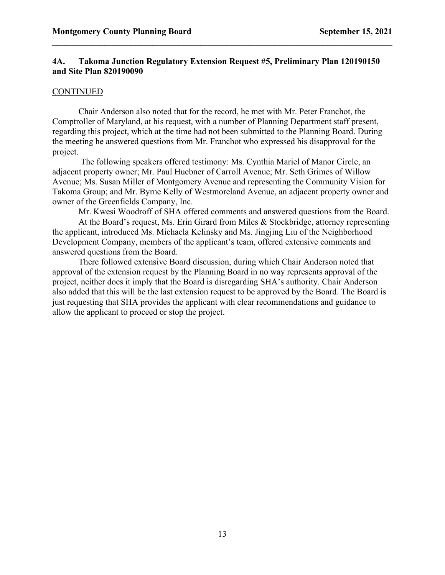### **4A. Takoma Junction Regulatory Extension Request #5, Preliminary Plan 120190150 and Site Plan 820190090**

 $\mathcal{L}_\mathcal{L} = \{ \mathcal{L}_\mathcal{L} = \{ \mathcal{L}_\mathcal{L} = \{ \mathcal{L}_\mathcal{L} = \{ \mathcal{L}_\mathcal{L} = \{ \mathcal{L}_\mathcal{L} = \{ \mathcal{L}_\mathcal{L} = \{ \mathcal{L}_\mathcal{L} = \{ \mathcal{L}_\mathcal{L} = \{ \mathcal{L}_\mathcal{L} = \{ \mathcal{L}_\mathcal{L} = \{ \mathcal{L}_\mathcal{L} = \{ \mathcal{L}_\mathcal{L} = \{ \mathcal{L}_\mathcal{L} = \{ \mathcal{L}_\mathcal{$ 

#### CONTINUED

Chair Anderson also noted that for the record, he met with Mr. Peter Franchot, the Comptroller of Maryland, at his request, with a number of Planning Department staff present, regarding this project, which at the time had not been submitted to the Planning Board. During the meeting he answered questions from Mr. Franchot who expressed his disapproval for the project.

The following speakers offered testimony: Ms. Cynthia Mariel of Manor Circle, an adjacent property owner; Mr. Paul Huebner of Carroll Avenue; Mr. Seth Grimes of Willow Avenue; Ms. Susan Miller of Montgomery Avenue and representing the Community Vision for Takoma Group; and Mr. Byrne Kelly of Westmoreland Avenue, an adjacent property owner and owner of the Greenfields Company, Inc.

Mr. Kwesi Woodroff of SHA offered comments and answered questions from the Board.

At the Board's request, Ms. Erin Girard from Miles & Stockbridge, attorney representing the applicant, introduced Ms. Michaela Kelinsky and Ms. Jingjing Liu of the Neighborhood Development Company, members of the applicant's team, offered extensive comments and answered questions from the Board.

There followed extensive Board discussion, during which Chair Anderson noted that approval of the extension request by the Planning Board in no way represents approval of the project, neither does it imply that the Board is disregarding SHA's authority. Chair Anderson also added that this will be the last extension request to be approved by the Board. The Board is just requesting that SHA provides the applicant with clear recommendations and guidance to allow the applicant to proceed or stop the project.